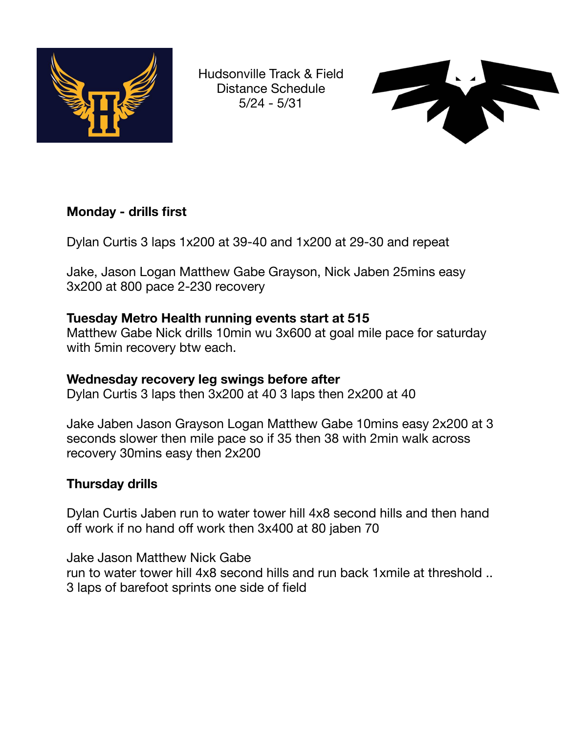

Hudsonville Track & Field Distance Schedule 5/24 - 5/31



# **Monday - drills first**

Dylan Curtis 3 laps 1x200 at 39-40 and 1x200 at 29-30 and repeat

Jake, Jason Logan Matthew Gabe Grayson, Nick Jaben 25mins easy 3x200 at 800 pace 2-230 recovery

# **Tuesday Metro Health running events start at 515**

Matthew Gabe Nick drills 10min wu 3x600 at goal mile pace for saturday with 5min recovery btw each.

# **Wednesday recovery leg swings before after**

Dylan Curtis 3 laps then 3x200 at 40 3 laps then 2x200 at 40

Jake Jaben Jason Grayson Logan Matthew Gabe 10mins easy 2x200 at 3 seconds slower then mile pace so if 35 then 38 with 2min walk across recovery 30mins easy then 2x200

# **Thursday drills**

Dylan Curtis Jaben run to water tower hill 4x8 second hills and then hand off work if no hand off work then 3x400 at 80 jaben 70

Jake Jason Matthew Nick Gabe run to water tower hill 4x8 second hills and run back 1xmile at threshold .. 3 laps of barefoot sprints one side of field